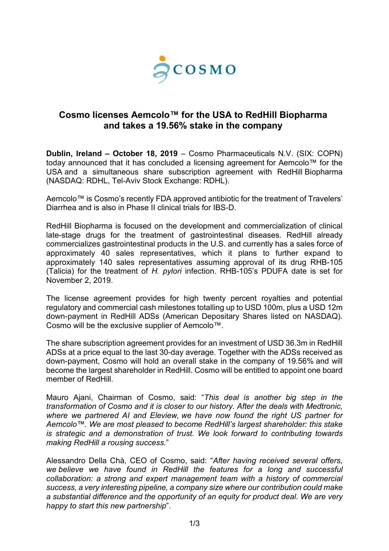

# **Cosmo licenses Aemcolo™ for the USA to RedHill Biopharma and takes a 19.56% stake in the company**

**Dublin, Ireland – October 18, 2019** – Cosmo Pharmaceuticals N.V. (SIX: COPN) today announced that it has concluded a licensing agreement for Aemcolo™ for the USA and a simultaneous share subscription agreement with RedHill Biopharma (NASDAQ: RDHL, Tel-Aviv Stock Exchange: [RDHL\)](https://info.tase.co.il/Eng/General/Company/Pages/companyMainData.aspx?subDataType=0&companyID=001573&shareID=01122381).

Aemcolo™ is Cosmo's recently FDA approved antibiotic for the treatment of Travelers' Diarrhea and is also in Phase II clinical trials for IBS-D.

RedHill Biopharma is focused on the development and commercialization of clinical late-stage drugs for the treatment of gastrointestinal diseases. RedHill already commercializes gastrointestinal products in the U.S. and currently has a sales force of approximately 40 sales representatives, which it plans to further expand to approximately 140 sales representatives assuming approval of its drug RHB-105 (Talicia) for the treatment of *H. pylori* infection. RHB-105's PDUFA date is set for November 2, 2019.

The license agreement provides for high twenty percent royalties and potential regulatory and commercial cash milestones totalling up to USD 100m, plus a USD 12m down-payment in RedHill ADSs (American Depositary Shares listed on NASDAQ). Cosmo will be the exclusive supplier of Aemcolo™.

The share subscription agreement provides for an investment of USD 36.3m in RedHill ADSs at a price equal to the last 30-day average. Together with the ADSs received as down-payment, Cosmo will hold an overall stake in the company of 19.56% and will become the largest shareholder in RedHill. Cosmo will be entitled to appoint one board member of RedHill.

Mauro Ajani, Chairman of Cosmo, said: "*This deal is another big step in the transformation of Cosmo and it is closer to our history. After the deals with Medtronic, where we partnered AI and Eleview, we have now found the right US partner for Aemcolo™. We are most pleased to become RedHill's largest shareholder: this stake is strategic and a demonstration of trust. We look forward to contributing towards making RedHill a rousing success.*"

Alessandro Della Chà, CEO of Cosmo, said: "*After having received several offers, we believe we have found in RedHill the features for a long and successful collaboration: a strong and expert management team with a history of commercial success, a very interesting pipeline, a company size where our contribution could make a substantial difference and the opportunity of an equity for product deal. We are very happy to start this new partnership*".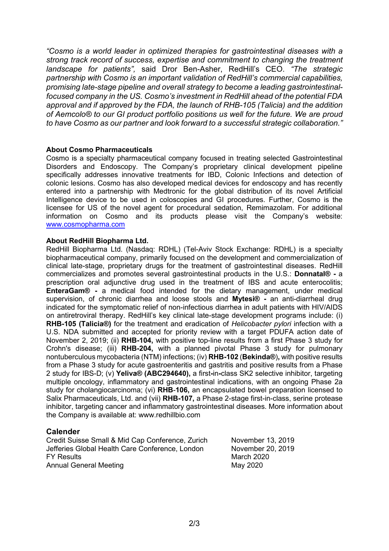*"Cosmo is a world leader in optimized therapies for gastrointestinal diseases with a strong track record of success, expertise and commitment to changing the treatment landscape for patients",* said Dror Ben-Asher, RedHill's CEO. *"The strategic partnership with Cosmo is an important validation of RedHill's commercial capabilities, promising late-stage pipeline and overall strategy to become a leading gastrointestinalfocused company in the US. Cosmo's investment in RedHill ahead of the potential FDA approval and if approved by the FDA, the launch of RHB-105 (Talicia) and the addition of Aemcolo® to our GI product portfolio positions us well for the future. We are proud to have Cosmo as our partner and look forward to a successful strategic collaboration."*

### **About Cosmo Pharmaceuticals**

Cosmo is a specialty pharmaceutical company focused in treating selected Gastrointestinal Disorders and Endoscopy. The Company's proprietary clinical development pipeline specifically addresses innovative treatments for IBD, Colonic Infections and detection of colonic lesions. Cosmo has also developed medical devices for endoscopy and has recently entered into a partnership with Medtronic for the global distribution of its novel Artificial Intelligence device to be used in coloscopies and GI procedures. Further, Cosmo is the licensee for US of the novel agent for procedural sedation, Remimazolam. For additional information on Cosmo and its products please visit the Company's website: [www.cosmopharma.com](http://www.cosmopharma.com/)

### **About RedHill Biopharma Ltd.**

RedHill Biopharma Ltd. (Nasdaq: [RDHL\)](https://finance.yahoo.com/quote/RDHL?p=RDHL&.tsrc=fin-srch) (Tel-Aviv Stock Exchange: [RDHL\)](https://info.tase.co.il/Eng/General/Company/Pages/companyMainData.aspx?subDataType=0&companyID=001573&shareID=01122381) is a specialty biopharmaceutical company, primarily focused on the development and commercialization of clinical late-stage, proprietary drugs for the treatment of gastrointestinal diseases. RedHill commercializes and promotes several gastrointestinal products in the U.S.: **Donnatal® -** a prescription oral adjunctive drug used in the treatment of IBS and acute enterocolitis; **EnteraGam® -** a medical food intended for the dietary management, under medical supervision, of chronic diarrhea and loose stools and **Mytesi® -** an anti-diarrheal drug indicated for the symptomatic relief of non-infectious diarrhea in adult patients with HIV/AIDS on antiretroviral therapy. RedHill's key clinical late-stage development programs include: (i) **RHB-105 (Talicia®)** for the treatment and eradication of *Helicobacter pylori* infection with a U.S. NDA submitted and accepted for priority review with a target PDUFA action date of November 2, 2019; (ii) **RHB-104,** with positive top-line results from a first Phase 3 study for Crohn's disease; (iii) **RHB-204,** with a planned pivotal Phase 3 study for pulmonary nontuberculous mycobacteria (NTM) infections; (iv) **RHB-102** (**Bekinda®**)**,** with positive results from a Phase 3 study for acute gastroenteritis and gastritis and positive results from a Phase 2 study for IBS-D; (v) **Yeliva® (ABC294640),** a first**-**in**-**class SK2 selective inhibitor, targeting multiple oncology, inflammatory and gastrointestinal indications, with an ongoing Phase 2a study for cholangiocarcinoma; (vi) **RHB**-**106,** an encapsulated bowel preparation licensed to Salix Pharmaceuticals, Ltd. and (vii) **RHB-107,** a Phase 2-stage first-in-class, serine protease inhibitor, targeting cancer and inflammatory gastrointestinal diseases. More information about the Company is available at: www.redhillbio.com

## **Calender**

Credit Suisse Small & Mid Cap Conference, Zurich November 13, 2019 Jefferies Global Health Care Conference, London November 20, 2019 FY Results March 2020 Annual General Meeting May 2020